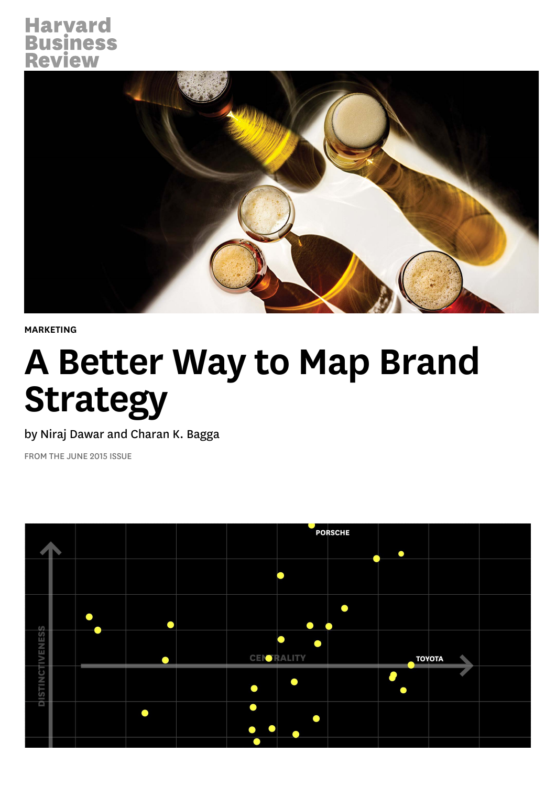# **Harvard Business**<br>Review



[MARKETING](https://hbr.org/topic/marketing)

# A Better Way to Map Brand Strategy

by [Niraj Dawar](https://hbr.org/search?term=niraj+dawar) and [Charan K. Bagga](https://hbr.org/search?term=charan+k.+bagga)

FROM THE JUNE 2015 ISSUE

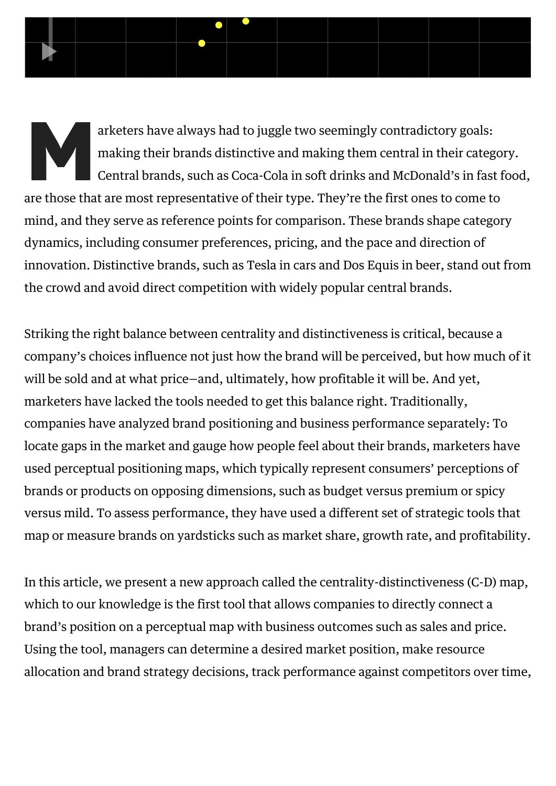arketers have always had to juggle two seemingly contradictory goals:<br>making their brands distinctive and making them central in their cates<br>Central brands, such as Coca-Cola in soft drinks and McDonald's in fas<br>are those making their brands distinctive and making them central in their category. Central brands, such as Coca-Cola in soft drinks and McDonald's in fast food, are those that are most representative of their type. They're the first ones to come to mind, and they serve as reference points for comparison. These brands shape category dynamics, including consumer preferences, pricing, and the pace and direction of innovation. Distinctive brands, such as Tesla in cars and Dos Equis in beer, stand out from the crowd and avoid direct competition with widely popular central brands.

E

Striking the right balance between centrality and distinctiveness is critical, because a company's choices influence not just how the brand will be perceived, but how much of it will be sold and at what price—and, ultimately, how profitable it will be. And yet, marketers have lacked the tools needed to get this balance right. Traditionally, companies have analyzed brand positioning and business performance separately: To locate gaps in the market and gauge how people feel about their brands, marketers have used perceptual positioning maps, which typically represent consumers' perceptions of brands or products on opposing dimensions, such as budget versus premium or spicy versus mild. To assess performance, they have used a different set of strategic tools that map or measure brands on yardsticks such as market share, growth rate, and profitability.

In this article, we present a new approach called the centrality-distinctiveness (C-D) map, which to our knowledge is the first tool that allows companies to directly connect a brand's position on a perceptual map with business outcomes such as sales and price. Using the tool, managers can determine a desired market position, make resource allocation and brand strategy decisions, track performance against competitors over time,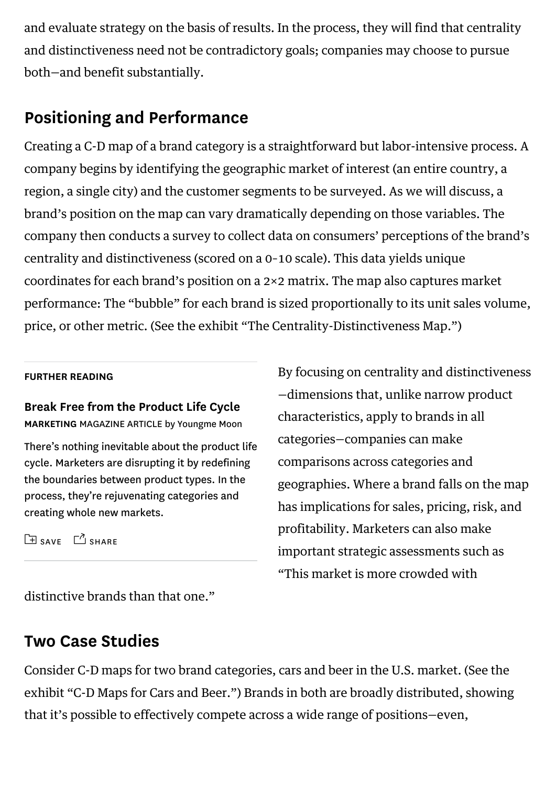and evaluate strategy on the basis of results. In the process, they will find that centrality and distinctiveness need not be contradictory goals; companies may choose to pursue both—and benefit substantially.

# Positioning and Performance

Creating a C-D map of a brand category is a straightforward but labor-intensive process. A company begins by identifying the geographic market of interest (an entire country, a region, a single city) and the customer segments to be surveyed. As we will discuss, a brand's position on the map can vary dramatically depending on those variables. The company then conducts a survey to collect data on consumers' perceptions of the brand's centrality and distinctiveness (scored on a 0–10 scale). This data yields unique coordinates for each brand's position on a 2×2 matrix. The map also captures market performance: The "bubble" for each brand is sized proportionally to its unit sales volume, price, or other metric. (See the exhibit "The Centrality-Distinctiveness Map.")

#### FURTHER READING

[Break Free from the Product Life Cycle](https://hbr.org/2005/05/break-free-from-the-product-life-cycle) MARKETING MAGAZINE ARTICLE by Youngme Moon

There's nothing inevitable about the product life cycle. Marketers are disrupting it by redefining the boundaries between product types. In the process, they're rejuvenating categories and creating whole new markets.

 $\Box$  [SAVE](https://hbr.org/2015/06/a-better-way-to-map-brand-strategy#)  $\Box$  [SHARE](https://hbr.org/2015/06/a-better-way-to-map-brand-strategy#)

By focusing on centrality and distinctiveness —dimensions that, unlike narrow product characteristics, apply to brands in all categories—companies can make comparisons across categories and geographies. Where a brand falls on the map has implications for sales, pricing, risk, and profitability. Marketers can also make important strategic assessments such as "This market is more crowded with

distinctive brands than that one."

# Two Case Studies

Consider C-D maps for two brand categories, cars and beer in the U.S. market. (See the exhibit "C-D Maps for Cars and Beer.") Brands in both are broadly distributed, showing that it's possible to effectively compete across a wide range of positions—even,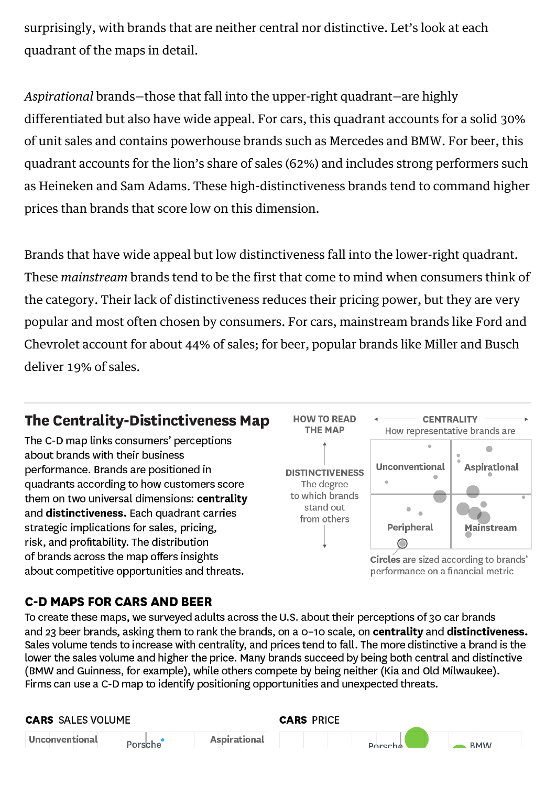surprisingly, with brands that are neither central nor distinctive. Let's look at each quadrant of the maps in detail.

*Aspirational* brands—those that fall into the upper-right quadrant—are highly differentiated but also have wide appeal. For cars, this quadrant accounts for a solid 30% of unit sales and contains powerhouse brands such as Mercedes and BMW. For beer, this quadrant accounts for the lion's share of sales (62%) and includes strong performers such as Heineken and Sam Adams. These high-distinctiveness brands tend to command higher prices than brands that score low on this dimension.

Brands that have wide appeal but low distinctiveness fall into the lower-right quadrant. These *mainstream* brands tend to be the first that come to mind when consumers think of the category. Their lack of distinctiveness reduces their pricing power, but they are very popular and most often chosen by consumers. For cars, mainstream brands like Ford and Chevrolet account for about 44% of sales; for beer, popular brands like Miller and Busch deliver 19% of sales.

# The Centrality-Distinctiveness Map

The C-D map links consumers' perceptions about brands with their business performance. Brands are positioned in quadrants according to how customers score them on two universal dimensions: centrality and distinctiveness. Each quadrant carries strategic implications for sales, pricing, risk, and profitability. The distribution of brands across the map offers insights about competitive opportunities and threats.



#### **C-D MAPS FOR CARS AND BEER**

To create these maps, we surveyed adults across the U.S. about their perceptions of 30 car brands and 23 beer brands, asking them to rank the brands, on a 0-10 scale, on centrality and distinctiveness. Sales volume tends to increase with centrality, and prices tend to fall. The more distinctive a brand is the lower the sales volume and higher the price. Many brands succeed by being both central and distinctive (BMW and Guinness, for example), while others compete by being neither (Kia and Old Milwaukee). Firms can use a C-D map to identify positioning opportunities and unexpected threats.

| <b>CARS</b> SALES VOLUME |         |              | <b>CARS PRICE</b> |                |      |
|--------------------------|---------|--------------|-------------------|----------------|------|
| Unconventional           | Porsche | Aspirational |                   | <b>Dorsche</b> | RMM/ |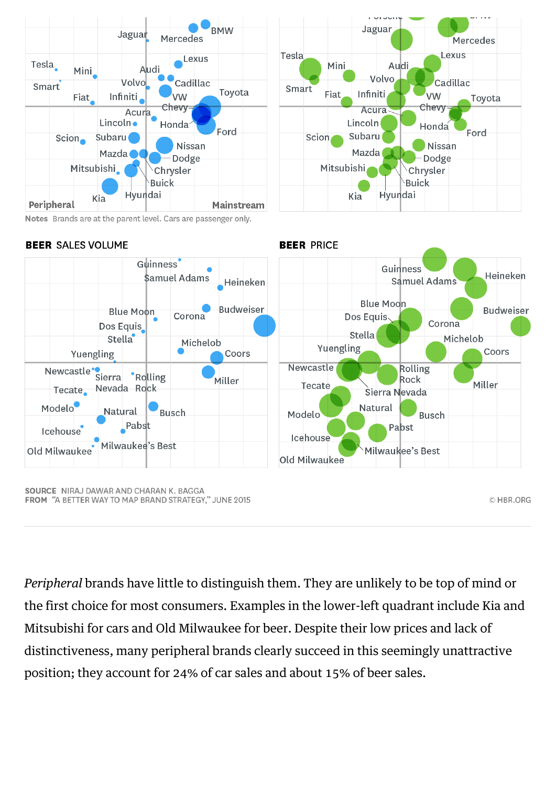



CHBR.ORG

Notes Brands are at the parent level. Cars are passenger only.

#### **BEER SALES VOLUME**



**BEER PRICE** 

*Peripheral* brands have little to distinguish them. They are unlikely to be top of mind or the first choice for most consumers. Examples in the lower-left quadrant include Kia and Mitsubishi for cars and Old Milwaukee for beer. Despite their low prices and lack of distinctiveness, many peripheral brands clearly succeed in this seemingly unattractive position; they account for 24% of car sales and about 15% of beer sales.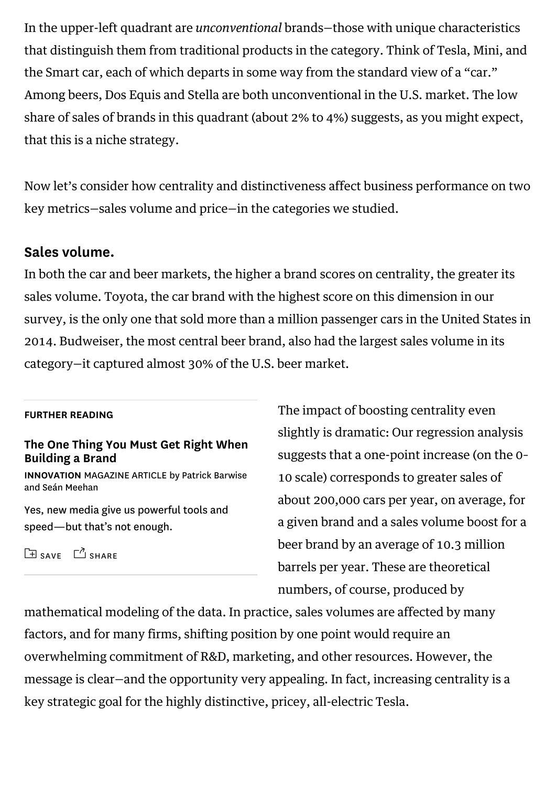In the upper-left quadrant are *unconventional* brands—those with unique characteristics that distinguish them from traditional products in the category. Think of Tesla, Mini, and the Smart car, each of which departs in some way from the standard view of a "car." Among beers, Dos Equis and Stella are both unconventional in the U.S. market. The low share of sales of brands in this quadrant (about 2% to 4%) suggests, as you might expect, that this is a niche strategy.

Now let's consider how centrality and distinctiveness affect business performance on two key metrics—sales volume and price—in the categories we studied.

#### Sales volume.

In both the car and beer markets, the higher a brand scores on centrality, the greater its sales volume. Toyota, the car brand with the highest score on this dimension in our survey, is the only one that sold more than a million passenger cars in the United States in 2014. Budweiser, the most central beer brand, also had the largest sales volume in its category—it captured almost 30% of the U.S. beer market.

#### FURTHER READING

#### [The One Thing You Must Get Right When](https://hbr.org/2010/12/the-one-thing-you-must-get-right-when-building-a-brand) Building a Brand

INNOVATION MAGAZINE ARTICLE by Patrick Barwise and Seán Meehan

Yes, new media give us powerful tools and speed—but that's not enough.

 $\boxed{\pm}$  [SAVE](https://hbr.org/2015/06/a-better-way-to-map-brand-strategy#)  $\boxed{\phantom{a}}$  [SHARE](https://hbr.org/2015/06/a-better-way-to-map-brand-strategy#)

The impact of boosting centrality even slightly is dramatic: Our regression analysis suggests that a one-point increase (on the 0– 10 scale) corresponds to greater sales of about 200,000 cars per year, on average, for a given brand and a sales volume boost for a beer brand by an average of 10.3 million barrels per year. These are theoretical numbers, of course, produced by

mathematical modeling of the data. In practice, sales volumes are affected by many factors, and for many firms, shifting position by one point would require an overwhelming commitment of R&D, marketing, and other resources. However, the message is clear—and the opportunity very appealing. In fact, increasing centrality is a key strategic goal for the highly distinctive, pricey, all-electric Tesla.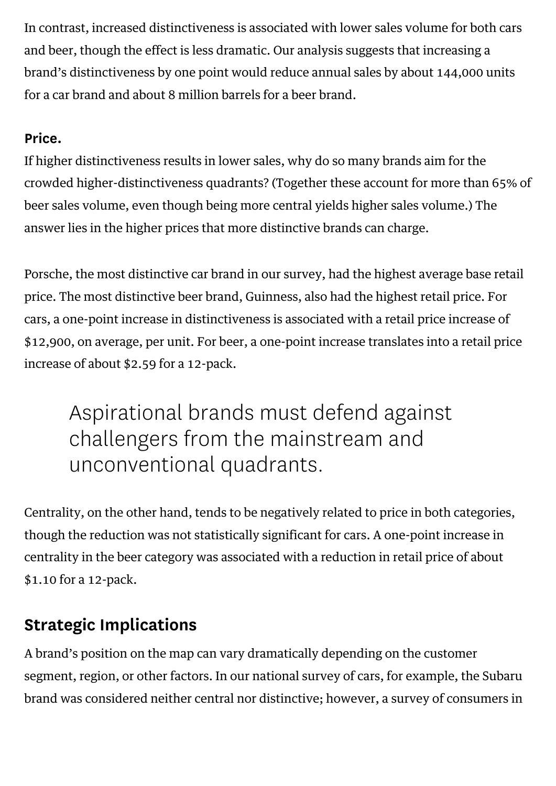In contrast, increased distinctiveness is associated with lower sales volume for both cars and beer, though the effect is less dramatic. Our analysis suggests that increasing a brand's distinctiveness by one point would reduce annual sales by about 144,000 units for a car brand and about 8 million barrels for a beer brand.

#### Price.

If higher distinctiveness results in lower sales, why do so many brands aim for the crowded higher-distinctiveness quadrants? (Together these account for more than 65% of beer sales volume, even though being more central yields higher sales volume.) The answer lies in the higher prices that more distinctive brands can charge.

Porsche, the most distinctive car brand in our survey, had the highest average base retail price. The most distinctive beer brand, Guinness, also had the highest retail price. For cars, a one-point increase in distinctiveness is associated with a retail price increase of \$12,900, on average, per unit. For beer, a one-point increase translates into a retail price increase of about \$2.59 for a 12-pack.

Aspirational brands must defend against challengers from the mainstream and unconventional quadrants.

Centrality, on the other hand, tends to be negatively related to price in both categories, though the reduction was not statistically significant for cars. A one-point increase in centrality in the beer category was associated with a reduction in retail price of about \$1.10 for a 12-pack.

# Strategic Implications

A brand's position on the map can vary dramatically depending on the customer segment, region, or other factors. In our national survey of cars, for example, the Subaru brand was considered neither central nor distinctive; however, a survey of consumers in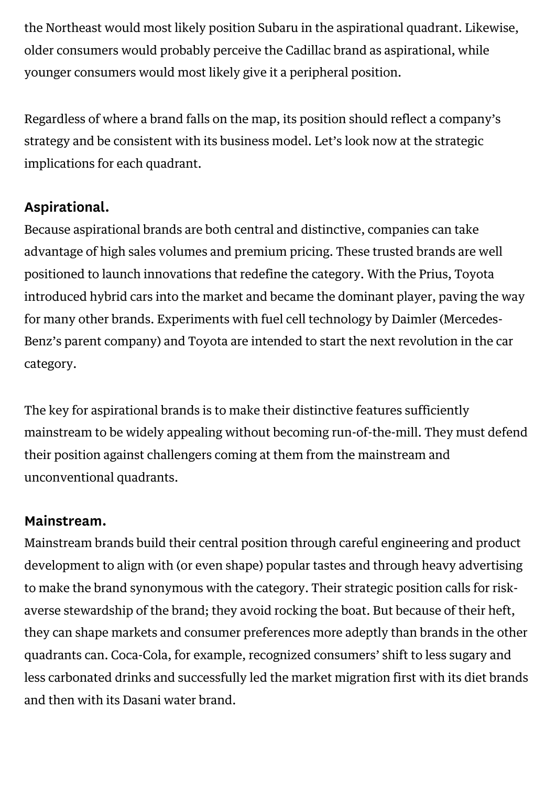the Northeast would most likely position Subaru in the aspirational quadrant. Likewise, older consumers would probably perceive the Cadillac brand as aspirational, while younger consumers would most likely give it a peripheral position.

Regardless of where a brand falls on the map, its position should reflect a company's strategy and be consistent with its business model. Let's look now at the strategic implications for each quadrant.

# Aspirational.

Because aspirational brands are both central and distinctive, companies can take advantage of high sales volumes and premium pricing. These trusted brands are well positioned to launch innovations that redefine the category. With the Prius, Toyota introduced hybrid cars into the market and became the dominant player, paving the way for many other brands. Experiments with fuel cell technology by Daimler (Mercedes-Benz's parent company) and Toyota are intended to start the next revolution in the car category.

The key for aspirational brands is to make their distinctive features sufficiently mainstream to be widely appealing without becoming run-of-the-mill. They must defend their position against challengers coming at them from the mainstream and unconventional quadrants.

#### Mainstream.

Mainstream brands build their central position through careful engineering and product development to align with (or even shape) popular tastes and through heavy advertising to make the brand synonymous with the category. Their strategic position calls for riskaverse stewardship of the brand; they avoid rocking the boat. But because of their heft, they can shape markets and consumer preferences more adeptly than brands in the other quadrants can. Coca-Cola, for example, recognized consumers' shift to less sugary and less carbonated drinks and successfully led the market migration first with its diet brands and then with its Dasani water brand.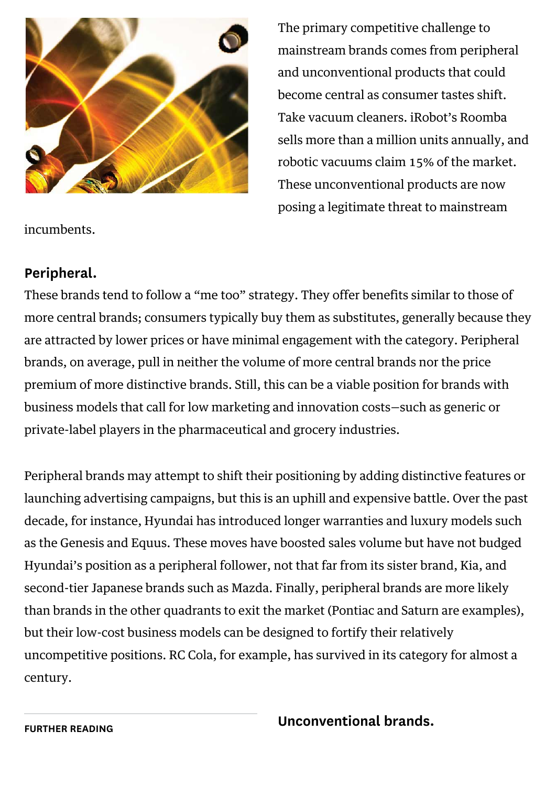

The primary competitive challenge to mainstream brands comes from peripheral and unconventional products that could become central as consumer tastes shift. Take vacuum cleaners. iRobot's Roomba sells more than a million units annually, and robotic vacuums claim 15% of the market. These unconventional products are now posing a legitimate threat to mainstream

incumbents.

#### Peripheral.

These brands tend to follow a "me too" strategy. They offer benefits similar to those of more central brands; consumers typically buy them as substitutes, generally because they are attracted by lower prices or have minimal engagement with the category. Peripheral brands, on average, pull in neither the volume of more central brands nor the price premium of more distinctive brands. Still, this can be a viable position for brands with business models that call for low marketing and innovation costs—such as generic or private-label players in the pharmaceutical and grocery industries.

Peripheral brands may attempt to shift their positioning by adding distinctive features or launching advertising campaigns, but this is an uphill and expensive battle. Over the past decade, for instance, Hyundai has introduced longer warranties and luxury models such as the Genesis and Equus. These moves have boosted sales volume but have not budged Hyundai's position as a peripheral follower, not that far from its sister brand, Kia, and second-tier Japanese brands such as Mazda. Finally, peripheral brands are more likely than brands in the other quadrants to exit the market (Pontiac and Saturn are examples), but their low-cost business models can be designed to fortify their relatively uncompetitive positions. RC Cola, for example, has survived in its category for almost a century.

Unconventional brands.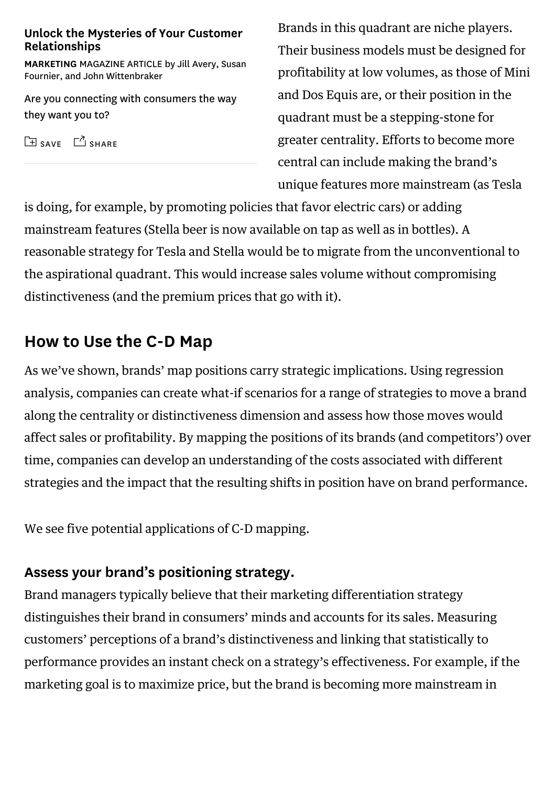#### [Unlock the Mysteries of Your Customer](https://hbr.org/2014/07/unlock-the-mysteries-of-your-customer-relationships) Relationships

MARKETING MAGAZINE ARTICLE by Jill Avery, Susan Fournier, and John Wittenbraker

Are you connecting with consumers the way they want you to?

 $\boxed{\pm}$  [SAVE](https://hbr.org/2015/06/a-better-way-to-map-brand-strategy#)  $\boxed{\phantom{a}}$  [SHARE](https://hbr.org/2015/06/a-better-way-to-map-brand-strategy#)

Brands in this quadrant are niche players. Their business models must be designed for profitability at low volumes, as those of Mini and Dos Equis are, or their position in the quadrant must be a stepping-stone for greater centrality. Efforts to become more central can include making the brand's unique features more mainstream (as Tesla

is doing, for example, by promoting policies that favor electric cars) or adding mainstream features (Stella beer is now available on tap as well as in bottles). A reasonable strategy for Tesla and Stella would be to migrate from the unconventional to the aspirational quadrant. This would increase sales volume without compromising distinctiveness (and the premium prices that go with it).

# How to Use the C-D Map

As we've shown, brands' map positions carry strategic implications. Using regression analysis, companies can create what-if scenarios for a range of strategies to move a brand along the centrality or distinctiveness dimension and assess how those moves would affect sales or profitability. By mapping the positions of its brands (and competitors') over time, companies can develop an understanding of the costs associated with different strategies and the impact that the resulting shifts in position have on brand performance.

We see five potential applications of C-D mapping.

#### Assess your brand's positioning strategy.

Brand managers typically believe that their marketing differentiation strategy distinguishes their brand in consumers' minds and accounts for its sales. Measuring customers' perceptions of a brand's distinctiveness and linking that statistically to performance provides an instant check on a strategy's effectiveness. For example, if the marketing goal is to maximize price, but the brand is becoming more mainstream in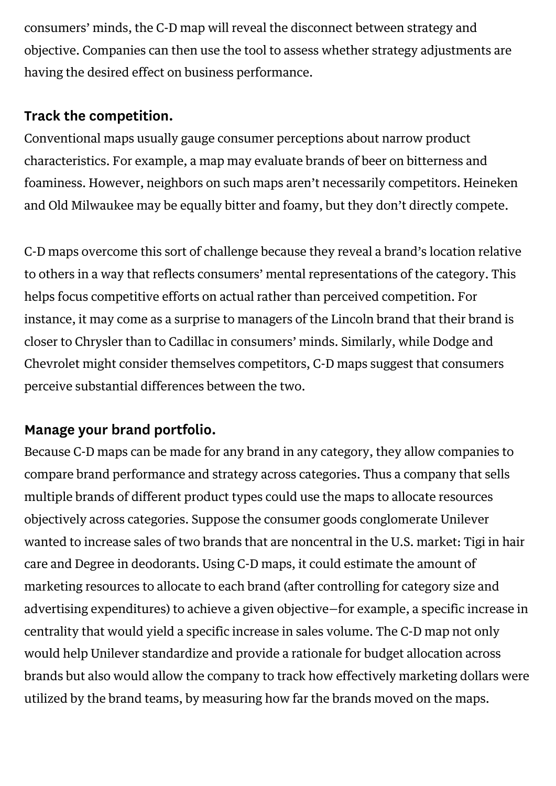consumers' minds, the C-D map will reveal the disconnect between strategy and objective. Companies can then use the tool to assess whether strategy adjustments are having the desired effect on business performance.

#### Track the competition.

Conventional maps usually gauge consumer perceptions about narrow product characteristics. For example, a map may evaluate brands of beer on bitterness and foaminess. However, neighbors on such maps aren't necessarily competitors. Heineken and Old Milwaukee may be equally bitter and foamy, but they don't directly compete.

C-D maps overcome this sort of challenge because they reveal a brand's location relative to others in a way that reflects consumers' mental representations of the category. This helps focus competitive efforts on actual rather than perceived competition. For instance, it may come as a surprise to managers of the Lincoln brand that their brand is closer to Chrysler than to Cadillac in consumers' minds. Similarly, while Dodge and Chevrolet might consider themselves competitors, C-D maps suggest that consumers perceive substantial differences between the two.

# Manage your brand portfolio.

Because C-D maps can be made for any brand in any category, they allow companies to compare brand performance and strategy across categories. Thus a company that sells multiple brands of different product types could use the maps to allocate resources objectively across categories. Suppose the consumer goods conglomerate Unilever wanted to increase sales of two brands that are noncentral in the U.S. market: Tigi in hair care and Degree in deodorants. Using C-D maps, it could estimate the amount of marketing resources to allocate to each brand (after controlling for category size and advertising expenditures) to achieve a given objective—for example, a specific increase in centrality that would yield a specific increase in sales volume. The C-D map not only would help Unilever standardize and provide a rationale for budget allocation across brands but also would allow the company to track how effectively marketing dollars were utilized by the brand teams, by measuring how far the brands moved on the maps.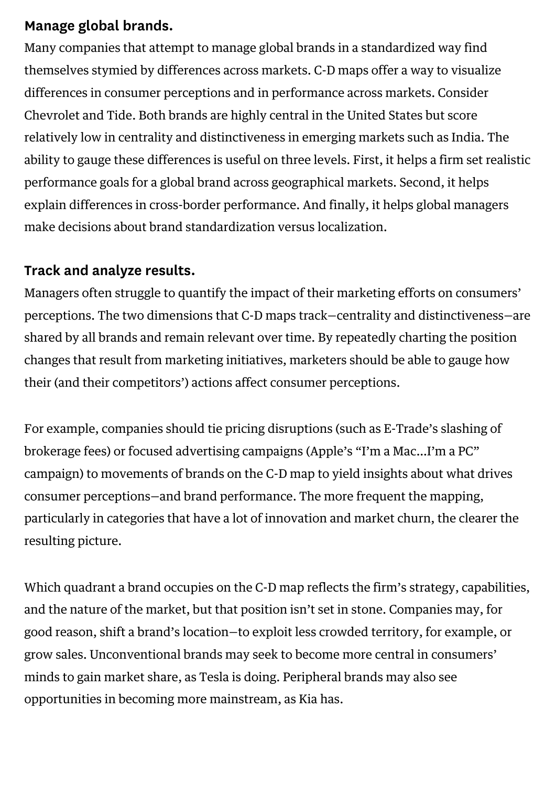#### Manage global brands.

Many companies that attempt to manage global brands in a standardized way find themselves stymied by differences across markets. C-D maps offer a way to visualize differences in consumer perceptions and in performance across markets. Consider Chevrolet and Tide. Both brands are highly central in the United States but score relatively low in centrality and distinctiveness in emerging markets such as India. The ability to gauge these differences is useful on three levels. First, it helps a firm set realistic performance goals for a global brand across geographical markets. Second, it helps explain differences in cross-border performance. And finally, it helps global managers make decisions about brand standardization versus localization.

#### Track and analyze results.

Managers often struggle to quantify the impact of their marketing efforts on consumers' perceptions. The two dimensions that C-D maps track—centrality and distinctiveness—are shared by all brands and remain relevant over time. By repeatedly charting the position changes that result from marketing initiatives, marketers should be able to gauge how their (and their competitors') actions affect consumer perceptions.

For example, companies should tie pricing disruptions (such as E-Trade's slashing of brokerage fees) or focused advertising campaigns (Apple's "I'm a Mac…I'm a PC" campaign) to movements of brands on the C-D map to yield insights about what drives consumer perceptions—and brand performance. The more frequent the mapping, particularly in categories that have a lot of innovation and market churn, the clearer the resulting picture.

Which quadrant a brand occupies on the C-D map reflects the firm's strategy, capabilities, and the nature of the market, but that position isn't set in stone. Companies may, for good reason, shift a brand's location—to exploit less crowded territory, for example, or grow sales. Unconventional brands may seek to become more central in consumers' minds to gain market share, as Tesla is doing. Peripheral brands may also see opportunities in becoming more mainstream, as Kia has.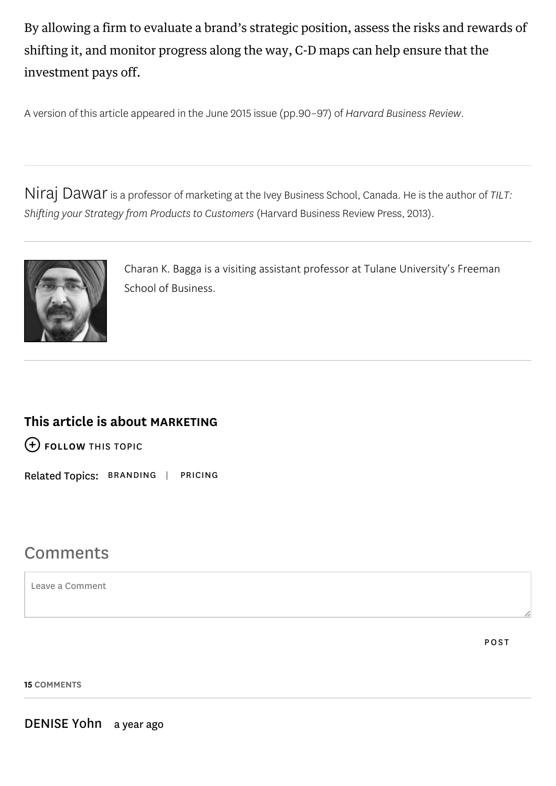By allowing a firm to evaluate a brand's strategic position, assess the risks and rewards of shifting it, and monitor progress along the way, C-D maps can help ensure that the investment pays off.

A version of this article appeared in the [June 2015](https://hbr.org/archive-toc/BR1506) issue (pp.90–97) of Harvard Business Review.

[Niraj Dawar](https://hbr.org/search?term=niraj+dawar) [is a professor of marketing at the Ivey Business School, Canada. He is the author of TILT:](https://youtu.be/ZFaoIvDh03M) Shifting your Strategy from Products to Customers (Harvard Business Review Press, 2013).



Charan K. Bagga is a visiting assistant professor at Tulane University's Freeman School of Business.

#### This article is about [MARKETING](https://hbr.org/topic/marketing)

[FOLLOW THIS TOPIC](https://hbr.org/2015/06/a-better-way-to-map-brand-strategy#)

Related Topics: [BRANDING](https://hbr.org/topic/branding) | [PRICING](https://hbr.org/topic/pricing)

# **Comments**

Leave a Comment

POST

15 COMMENTS

DENISE Yohn a year ago